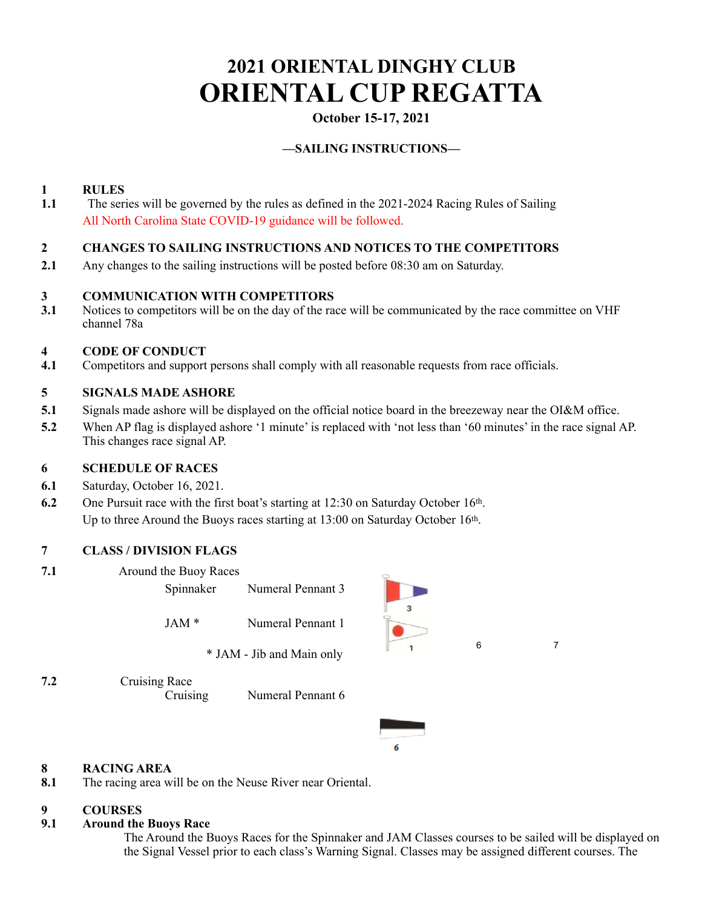# **2021 ORIENTAL DINGHY CLUB ORIENTAL CUP REGATTA**

# **October 15-17, 2021**

## **—SAILING INSTRUCTIONS—**

### **1 RULES**

**1.1** The series will be governed by the rules as defined in the 2021-2024 Racing Rules of Sailing All North Carolina State COVID-19 guidance will be followed.

### **2 CHANGES TO SAILING INSTRUCTIONS AND NOTICES TO THE COMPETITORS**

**2.1** Any changes to the sailing instructions will be posted before 08:30 am on Saturday.

### **3 COMMUNICATION WITH COMPETITORS**

**3.1** Notices to competitors will be on the day of the race will be communicated by the race committee on VHF channel 78a

### **4 CODE OF CONDUCT**

**4.1** Competitors and support persons shall comply with all reasonable requests from race officials.

### **5 SIGNALS MADE ASHORE**

- **5.1** Signals made ashore will be displayed on the official notice board in the breezeway near the OI&M office.
- **5.2** When AP flag is displayed ashore '1 minute' is replaced with 'not less than '60 minutes' in the race signal AP. This changes race signal AP.

### **6 SCHEDULE OF RACES**

- **6.1** Saturday, October 16, 2021.
- **6.2** One Pursuit race with the first boat's starting at 12:30 on Saturday October 16<sup>th</sup>. Up to three Around the Buoys races starting at 13:00 on Saturday October 16th.

### **7 CLASS / DIVISION FLAGS**

- **7.1** Around the Buoy Races
- Spinnaker Numeral Pennant 3 JAM \* Numeral Pennant 1 \* JAM - Jib and Main only **7.2** Cruising Race
	- Cruising Numeral Pennant 6





### **8 RACING AREA**

**8.1** The racing area will be on the Neuse River near Oriental.

### **9 COURSES**

### **9.1 Around the Buoys Race**

The Around the Buoys Races for the Spinnaker and JAM Classes courses to be sailed will be displayed on the Signal Vessel prior to each class's Warning Signal. Classes may be assigned different courses. The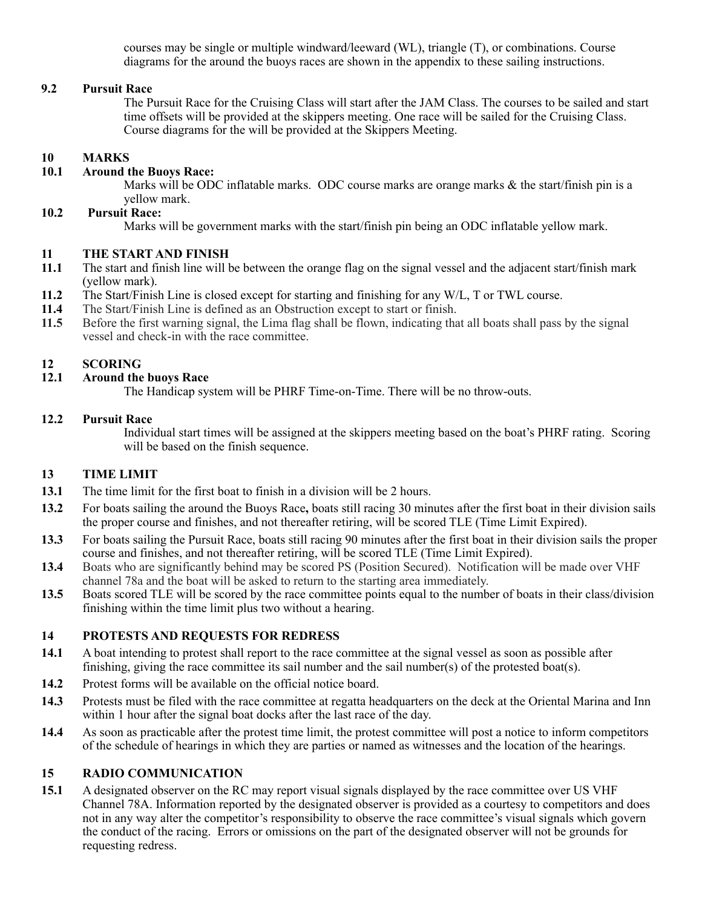courses may be single or multiple windward/leeward (WL), triangle (T), or combinations. Course diagrams for the around the buoys races are shown in the appendix to these sailing instructions.

### **9.2 Pursuit Race**

The Pursuit Race for the Cruising Class will start after the JAM Class. The courses to be sailed and start time offsets will be provided at the skippers meeting. One race will be sailed for the Cruising Class. Course diagrams for the will be provided at the Skippers Meeting.

# **10 MARKS**

### **10.1 Around the Buoys Race:**

Marks will be ODC inflatable marks. ODC course marks are orange marks  $\&$  the start/finish pin is a yellow mark.

#### **10.2 Pursuit Race:**

Marks will be government marks with the start/finish pin being an ODC inflatable yellow mark.

### **11 THE START AND FINISH**

- **11.1** The start and finish line will be between the orange flag on the signal vessel and the adjacent start/finish mark (yellow mark).
- **11.2** The Start/Finish Line is closed except for starting and finishing for any W/L, T or TWL course.
- **11.4** The Start/Finish Line is defined as an Obstruction except to start or finish.<br>**11.5** Before the first warning signal, the Lima flag shall be flown, indicating that
- **11.5** Before the first warning signal, the Lima flag shall be flown, indicating that all boats shall pass by the signal vessel and check-in with the race committee.

# **12 SCORING**

### **12.1 Around the buoys Race**

The Handicap system will be PHRF Time-on-Time. There will be no throw-outs.

#### **12.2 Pursuit Race**

Individual start times will be assigned at the skippers meeting based on the boat's PHRF rating. Scoring will be based on the finish sequence.

### **13 TIME LIMIT**

- **13.1** The time limit for the first boat to finish in a division will be 2 hours.
- **13.2** For boats sailing the around the Buoys Race**,** boats still racing 30 minutes after the first boat in their division sails the proper course and finishes, and not thereafter retiring, will be scored TLE (Time Limit Expired).
- **13.3** For boats sailing the Pursuit Race, boats still racing 90 minutes after the first boat in their division sails the proper course and finishes, and not thereafter retiring, will be scored TLE (Time Limit Expired).
- **13.4** Boats who are significantly behind may be scored PS (Position Secured). Notification will be made over VHF channel 78a and the boat will be asked to return to the starting area immediately.
- **13.5** Boats scored TLE will be scored by the race committee points equal to the number of boats in their class/division finishing within the time limit plus two without a hearing.

### **14 PROTESTS AND REQUESTS FOR REDRESS**

- **14.1** A boat intending to protest shall report to the race committee at the signal vessel as soon as possible after finishing, giving the race committee its sail number and the sail number(s) of the protested boat(s).
- **14.2** Protest forms will be available on the official notice board.
- **14.3** Protests must be filed with the race committee at regatta headquarters on the deck at the Oriental Marina and Inn within 1 hour after the signal boat docks after the last race of the day.
- **14.4** As soon as practicable after the protest time limit, the protest committee will post a notice to inform competitors of the schedule of hearings in which they are parties or named as witnesses and the location of the hearings.

### **15 RADIO COMMUNICATION**

**15.1** A designated observer on the RC may report visual signals displayed by the race committee over US VHF Channel 78A. Information reported by the designated observer is provided as a courtesy to competitors and does not in any way alter the competitor's responsibility to observe the race committee's visual signals which govern the conduct of the racing. Errors or omissions on the part of the designated observer will not be grounds for requesting redress.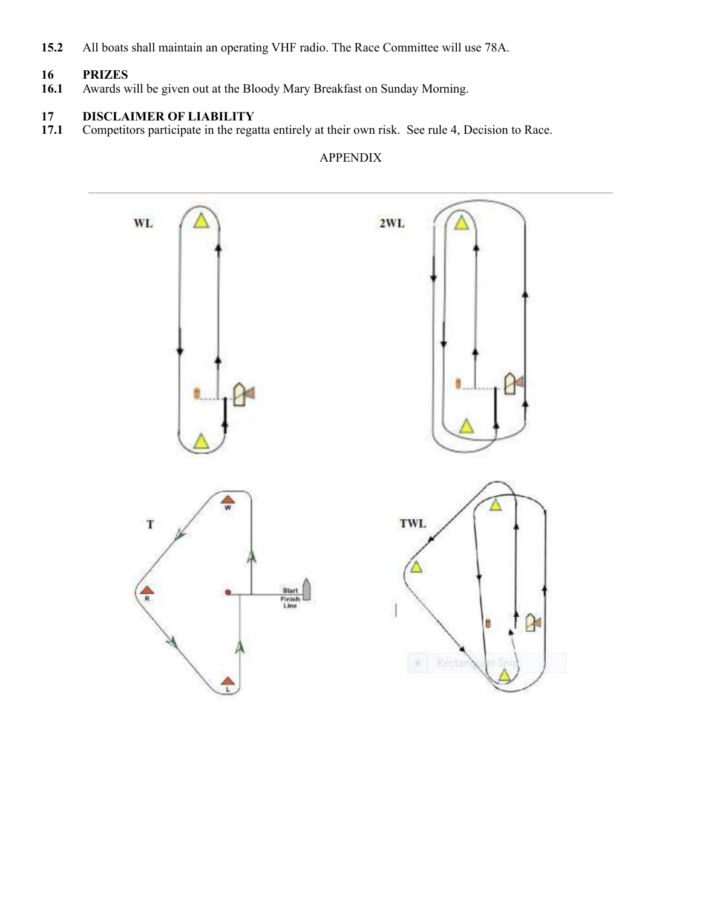**15.2** All boats shall maintain an operating VHF radio. The Race Committee will use 78A.

# **16 PRIZES**

**16.1** Awards will be given out at the Bloody Mary Breakfast on Sunday Morning.

# 17.1 **DISCLAIMER OF LIABILITY**<br>17.1 Competitors participate in the rega

**17.1** Competitors participate in the regatta entirely at their own risk. See rule 4, Decision to Race.

## APPENDIX